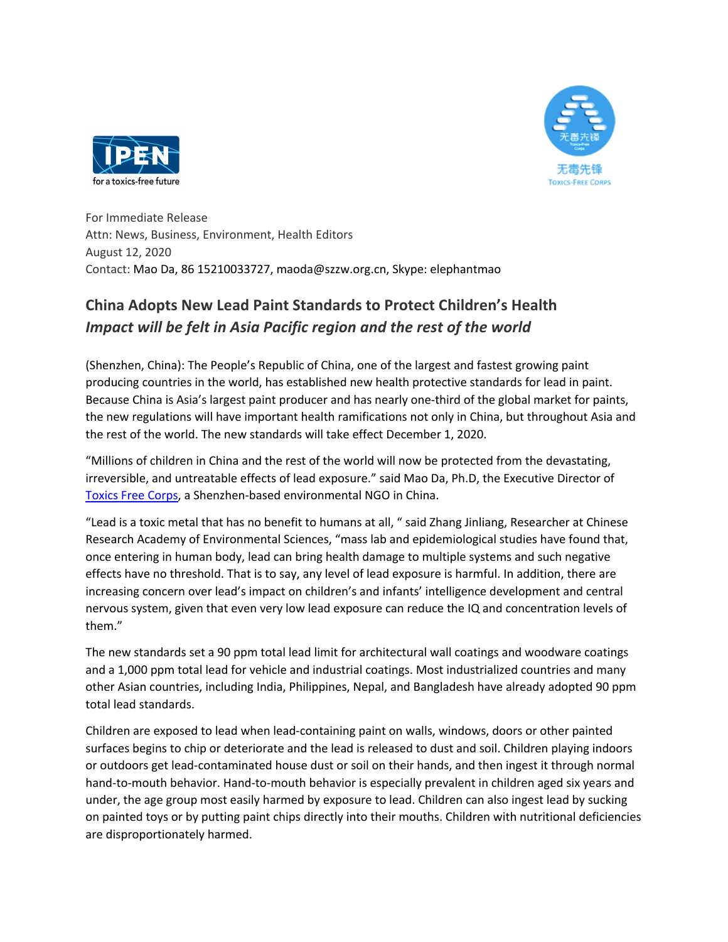



For Immediate Release Attn: News, Business, Environment, Health Editors August 12, 2020 Contact: Mao Da, 86 15210033727, maoda@szzw.org.cn, Skype: elephantmao

## **China Adopts New Lead Paint Standards to Protect Children's Health** *Impact will be felt in Asia Pacific region and the rest of the world*

(Shenzhen, China): The People's Republic of China, one of the largest and fastest growing paint producing countries in the world, has established new health protective standards for lead in paint. Because China is Asia's largest paint producer and has nearly one-third of the global market for paints, the new regulations will have important health ramifications not only in China, but throughout Asia and the rest of the world. The new standards will take effect December 1, 2020.

"Millions of children in China and the rest of the world will now be protected from the devastating, irreversible, and untreatable effects of lead exposure." said Mao Da, Ph.D, the Executive Director of Toxics Free Corps, a Shenzhen-based environmental NGO in China.

"Lead is a toxic metal that has no benefit to humans at all, " said Zhang Jinliang, Researcher at Chinese Research Academy of Environmental Sciences, "mass lab and epidemiological studies have found that, once entering in human body, lead can bring health damage to multiple systems and such negative effects have no threshold. That is to say, any level of lead exposure is harmful. In addition, there are increasing concern over lead's impact on children's and infants' intelligence development and central nervous system, given that even very low lead exposure can reduce the IQ and concentration levels of them."

The new standards set a 90 ppm total lead limit for architectural wall coatings and woodware coatings and a 1,000 ppm total lead for vehicle and industrial coatings. Most industrialized countries and many other Asian countries, including India, Philippines, Nepal, and Bangladesh have already adopted 90 ppm total lead standards.

Children are exposed to lead when lead-containing paint on walls, windows, doors or other painted surfaces begins to chip or deteriorate and the lead is released to dust and soil. Children playing indoors or outdoors get lead-contaminated house dust or soil on their hands, and then ingest it through normal hand-to-mouth behavior. Hand-to-mouth behavior is especially prevalent in children aged six years and under, the age group most easily harmed by exposure to lead. Children can also ingest lead by sucking on painted toys or by putting paint chips directly into their mouths. Children with nutritional deficiencies are disproportionately harmed.